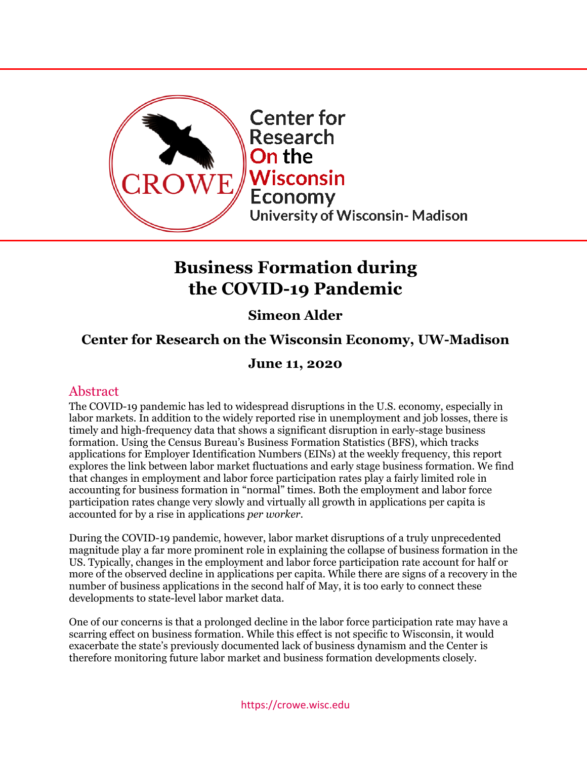<span id="page-0-0"></span>

# **Business Formation during the COVID-19 Pandemic**

## **Simeon Alder**

## **Center for Research on the Wisconsin Economy, UW-Madison**

### **June 11, 2020**

### Abstract

The COVID-19 pandemic has led to widespread disruptions in the U.S. economy, especially in labor markets. In addition to the widely reported rise in unemployment and job losses, there is timely and high-frequency data that shows a significant disruption in early-stage business formation. Using the Census Bureau's Business Formation Statistics (BFS), which tracks applications for Employer Identification Numbers (EINs) at the weekly frequency, this report explores the link between labor market fluctuations and early stage business formation. We find that changes in employment and labor force participation rates play a fairly limited role in accounting for business formation in "normal" times. Both the employment and labor force participation rates change very slowly and virtually all growth in applications per capita is accounted for by a rise in applications *per worker*.

During the COVID-19 pandemic, however, labor market disruptions of a truly unprecedented magnitude play a far more prominent role in explaining the collapse of business formation in the US. Typically, changes in the employment and labor force participation rate account for half or more of the observed decline in applications per capita. While there are signs of a recovery in the number of business applications in the second half of May, it is too early to connect these developments to state-level labor market data.

One of our concerns is that a prolonged decline in the labor force participation rate may have a scarring effect on business formation. While this effect is not specific to Wisconsin, it would exacerbate the state's previously documented lack of business dynamism and the Center is therefore monitoring future labor market and business formation developments closely.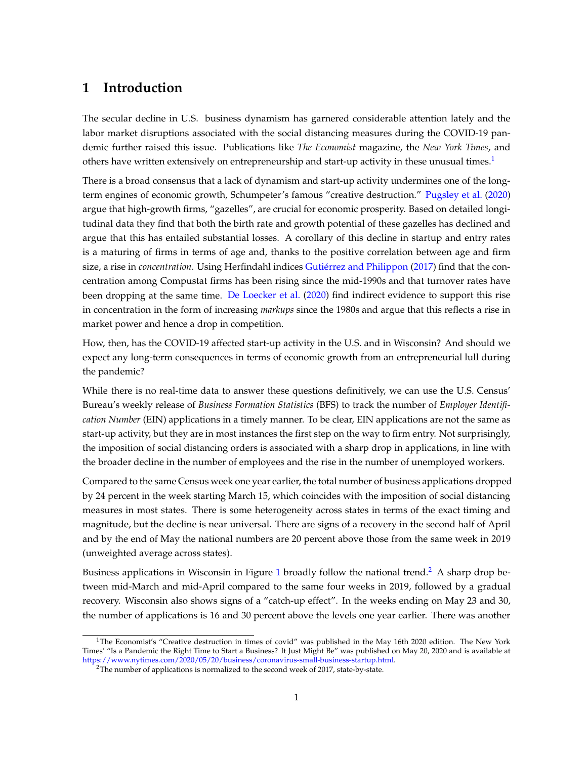#### **1 Introduction**

The secular decline in U.S. business dynamism has garnered considerable attention lately and the labor market disruptions associated with the social distancing measures during the COVID-19 pandemic further raised this issue. Publications like *The Economist* magazine, the *New York Times*, and others have written extensively on entrepreneurship and start-up activity in these unusual times.<sup>[1](#page-1-0)</sup>

There is a broad consensus that a lack of dynamism and start-up activity undermines one of the longterm engines of economic growth, Schumpeter's famous "creative destruction." [Pugsley et al.](#page-11-0) [\(2020\)](#page-11-0) argue that high-growth firms, "gazelles", are crucial for economic prosperity. Based on detailed longitudinal data they find that both the birth rate and growth potential of these gazelles has declined and argue that this has entailed substantial losses. A corollary of this decline in startup and entry rates is a maturing of firms in terms of age and, thanks to the positive correlation between age and firm size, a rise in *concentration*. Using Herfindahl indices Gutiérrez and Philippon [\(2017\)](#page-11-1) find that the concentration among Compustat firms has been rising since the mid-1990s and that turnover rates have been dropping at the same time. [De Loecker et al.](#page-11-2) [\(2020](#page-11-2)) find indirect evidence to support this rise in concentration in the form of increasing *markups* since the 1980s and argue that this reflects a rise in market power and hence a drop in competition.

How, then, has the COVID-19 affected start-up activity in the U.S. and in Wisconsin? And should we expect any long-term consequences in terms of economic growth from an entrepreneurial lull during the pandemic?

While there is no real-time data to answer these questions definitively, we can use the U.S. Census' Bureau's weekly release of *Business Formation Statistics* (BFS) to track the number of *Employer Identification Number* (EIN) applications in a timely manner. To be clear, EIN applications are not the same as start-up activity, but they are in most instances the first step on the way to firm entry. Not surprisingly, the imposition of social distancing orders is associated with a sharp drop in applications, in line with the broader decline in the number of employees and the rise in the number of unemployed workers.

Compared to the same Census week one year earlier, the total number of business applications dropped by 24 percent in the week starting March 15, which coincides with the imposition of social distancing measures in most states. There is some heterogeneity across states in terms of the exact timing and magnitude, but the decline is near universal. There are signs of a recovery in the second half of April and by the end of May the national numbers are 20 percent above those from the same week in 2019 (unweighted average across states).

Business applications in Wisconsin in Figure [1](#page-2-0) broadly follow the national trend.<sup>[2](#page-1-1)</sup> A sharp drop between mid-March and mid-April compared to the same four weeks in 2019, followed by a gradual recovery. Wisconsin also shows signs of a "catch-up effect". In the weeks ending on May 23 and 30, the number of applications is 16 and 30 percent above the levels one year earlier. There was another

<sup>&</sup>lt;sup>1</sup>The Economist's "Creative destruction in times of covid" was published in the May 16th 2020 edition. The New York Times' "Is a Pandemic the Right Time to Start a Business? It Just Might Be" was published on May 20, 2020 and is available at [https://www.nytimes.com/2020/05/20/business/coronavirus-small-business-startup.html.](https://www.nytimes.com/2020/05/20/business/coronavirus-small-business-startup.html)

<span id="page-1-1"></span><span id="page-1-0"></span><sup>2</sup>The number of applications is normalized to the second week of 2017, state-by-state.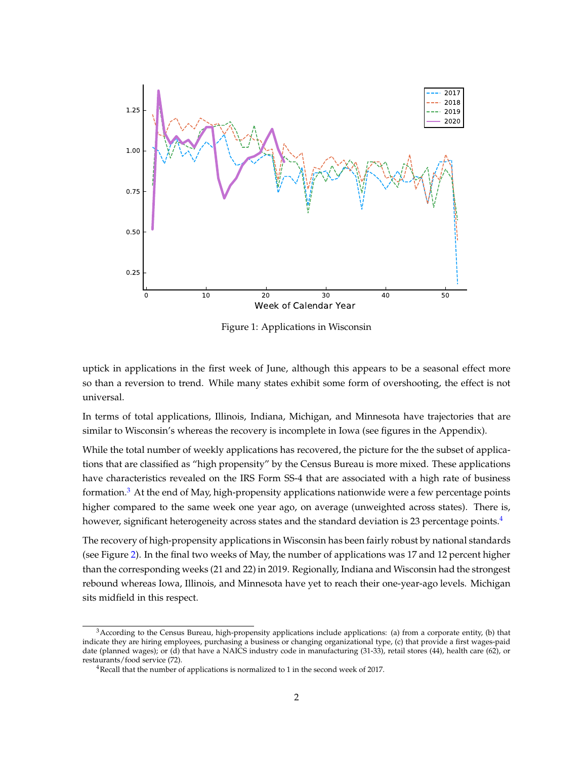<span id="page-2-0"></span>

Figure 1: Applications in Wisconsin

uptick in applications in the first week of June, although this appears to be a seasonal effect more so than a reversion to trend. While many states exhibit some form of overshooting, the effect is not universal.

In terms of total applications, Illinois, Indiana, Michigan, and Minnesota have trajectories that are similar to Wisconsin's whereas the recovery is incomplete in Iowa (see figures in the Appendix).

While the total number of weekly applications has recovered, the picture for the the subset of applications that are classified as "high propensity" by the Census Bureau is more mixed. These applications have characteristics revealed on the IRS Form SS-4 that are associated with a high rate of business formation.<sup>[3](#page-2-1)</sup> At the end of May, high-propensity applications nationwide were a few percentage points higher compared to the same week one year ago, on average (unweighted across states). There is, however, significant heterogeneity across states and the standard deviation is 23 percentage points.<sup>[4](#page-2-2)</sup>

The recovery of high-propensity applications in Wisconsin has been fairly robust by national standards (see Figure [2\)](#page-3-0). In the final two weeks of May, the number of applications was 17 and 12 percent higher than the corresponding weeks (21 and 22) in 2019. Regionally, Indiana and Wisconsin had the strongest rebound whereas Iowa, Illinois, and Minnesota have yet to reach their one-year-ago levels. Michigan sits midfield in this respect.

<span id="page-2-1"></span><sup>&</sup>lt;sup>3</sup> According to the Census Bureau, high-propensity applications include applications: (a) from a corporate entity, (b) that indicate they are hiring employees, purchasing a business or changing organizational type, (c) that provide a first wages-paid date (planned wages); or (d) that have a NAICS industry code in manufacturing (31-33), retail stores (44), health care (62), or restaurants/food service (72).

<span id="page-2-2"></span><sup>4</sup>Recall that the number of applications is normalized to 1 in the second week of 2017.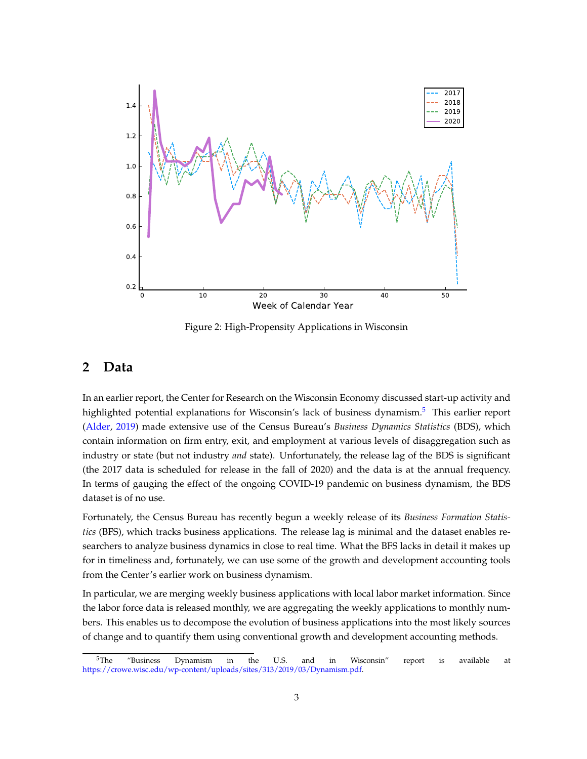<span id="page-3-0"></span>

Figure 2: High-Propensity Applications in Wisconsin

#### **2 Data**

In an earlier report, the Center for Research on the Wisconsin Economy discussed start-up activity and highlighted potential explanations for Wisconsin's lack of business dynamism.<sup>[5](#page-3-1)</sup> This earlier report [\(Alder](#page-11-3), [2019](#page-11-3)) made extensive use of the Census Bureau's *Business Dynamics Statistics* (BDS), which contain information on firm entry, exit, and employment at various levels of disaggregation such as industry or state (but not industry *and* state). Unfortunately, the release lag of the BDS is significant (the 2017 data is scheduled for release in the fall of 2020) and the data is at the annual frequency. In terms of gauging the effect of the ongoing COVID-19 pandemic on business dynamism, the BDS dataset is of no use.

Fortunately, the Census Bureau has recently begun a weekly release of its *Business Formation Statistics* (BFS), which tracks business applications. The release lag is minimal and the dataset enables researchers to analyze business dynamics in close to real time. What the BFS lacks in detail it makes up for in timeliness and, fortunately, we can use some of the growth and development accounting tools from the Center's earlier work on business dynamism.

In particular, we are merging weekly business applications with local labor market information. Since the labor force data is released monthly, we are aggregating the weekly applications to monthly numbers. This enables us to decompose the evolution of business applications into the most likely sources of change and to quantify them using conventional growth and development accounting methods.

<span id="page-3-1"></span> $^{5}$ The "Business Dynamism in the U.S. and in Wisconsin" report is available at [https://crowe.wisc.edu/wp-content/uploads/sites/313/2019/03/Dynamism.pdf.](https://crowe.wisc.edu/wp-content/uploads/sites/313/2019/03/Dynamism.pdf)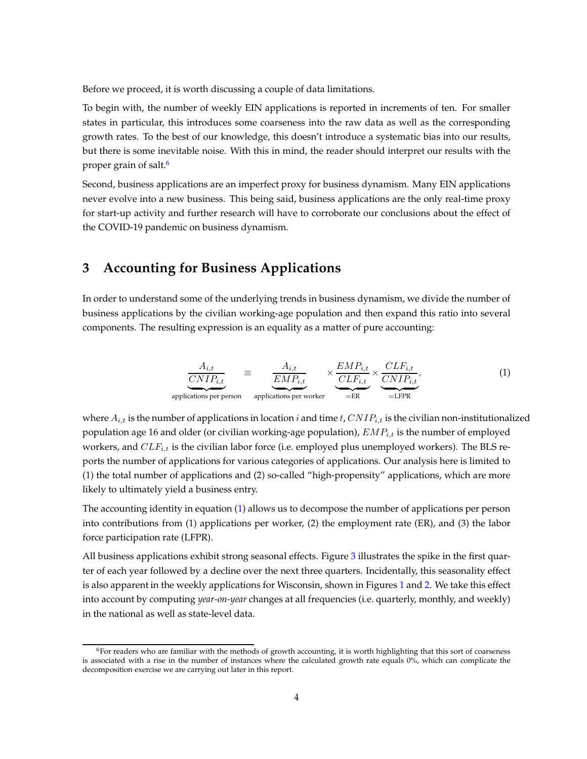Before we proceed, it is worth discussing a couple of data limitations.

To begin with, the number of weekly EIN applications is reported in increments of ten. For smaller states in particular, this introduces some coarseness into the raw data as well as the corresponding growth rates. To the best of our knowledge, this doesn't introduce a systematic bias into our results, but there is some inevitable noise. With this in mind, the reader should interpret our results with the proper grain of salt.<sup>[6](#page-4-0)</sup>

Second, business applications are an imperfect proxy for business dynamism. Many EIN applications never evolve into a new business. This being said, business applications are the only real-time proxy for start-up activity and further research will have to corroborate our conclusions about the effect of the COVID-19 pandemic on business dynamism.

### **3 Accounting for Business Applications**

In order to understand some of the underlying trends in business dynamism, we divide the number of business applications by the civilian working-age population and then expand this ratio into several components. The resulting expression is an equality as a matter of pure accounting:

<span id="page-4-1"></span>
$$
\underbrace{\frac{A_{i,t}}{CNIP_{i,t}}}_{\text{applications per person}} \equiv \underbrace{\frac{A_{i,t}}{EMP_{i,t}}}_{\text{applications per worker}} \times \underbrace{\frac{EMP_{i,t}}{CLF_{i,t}}}_{=ER} \times \underbrace{\frac{CLF_{i,t}}{CNIP_{i,t}}}_{=LEPR},\tag{1}
$$

where  $A_{i,t}$  is the number of applications in location i and time t,  $CNIP_{i,t}$  is the civilian non-institutionalized population age 16 and older (or civilian working-age population),  $EMP_{i,t}$  is the number of employed workers, and  $CLF_{i,t}$  is the civilian labor force (i.e. employed plus unemployed workers). The BLS reports the number of applications for various categories of applications. Our analysis here is limited to (1) the total number of applications and (2) so-called "high-propensity" applications, which are more likely to ultimately yield a business entry.

The accounting identity in equation [\(1\)](#page-4-1) allows us to decompose the number of applications per person into contributions from (1) applications per worker, (2) the employment rate (ER), and (3) the labor force participation rate (LFPR).

All business applications exhibit strong seasonal effects. Figure [3](#page-5-0) illustrates the spike in the first quarter of each year followed by a decline over the next three quarters. Incidentally, this seasonality effect is also apparent in the weekly applications for Wisconsin, shown in Figures [1](#page-2-0) and [2.](#page-3-0) We take this effect into account by computing *year-on-year* changes at all frequencies (i.e. quarterly, monthly, and weekly) in the national as well as state-level data.

<span id="page-4-0"></span> $6$ For readers who are familiar with the methods of growth accounting, it is worth highlighting that this sort of coarseness is associated with a rise in the number of instances where the calculated growth rate equals 0%, which can complicate the decomposition exercise we are carrying out later in this report.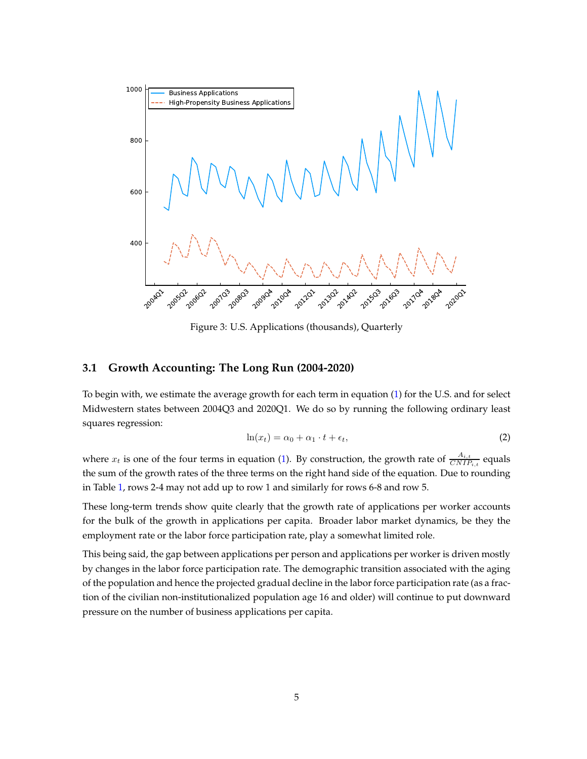<span id="page-5-0"></span>

Figure 3: U.S. Applications (thousands), Quarterly

#### **3.1 Growth Accounting: The Long Run (2004-2020)**

To begin with, we estimate the average growth for each term in equation [\(1\)](#page-4-1) for the U.S. and for select Midwestern states between 2004Q3 and 2020Q1. We do so by running the following ordinary least squares regression:

$$
\ln(x_t) = \alpha_0 + \alpha_1 \cdot t + \epsilon_t,\tag{2}
$$

where  $x_t$  is one of the four terms in equation [\(1\)](#page-4-1). By construction, the growth rate of  $\frac{A_{i,t}}{CNIP_{i,t}}$  equals the sum of the growth rates of the three terms on the right hand side of the equation. Due to rounding in Table [1,](#page-6-0) rows 2-4 may not add up to row 1 and similarly for rows 6-8 and row 5.

These long-term trends show quite clearly that the growth rate of applications per worker accounts for the bulk of the growth in applications per capita. Broader labor market dynamics, be they the employment rate or the labor force participation rate, play a somewhat limited role.

This being said, the gap between applications per person and applications per worker is driven mostly by changes in the labor force participation rate. The demographic transition associated with the aging of the population and hence the projected gradual decline in the labor force participation rate (as a fraction of the civilian non-institutionalized population age 16 and older) will continue to put downward pressure on the number of business applications per capita.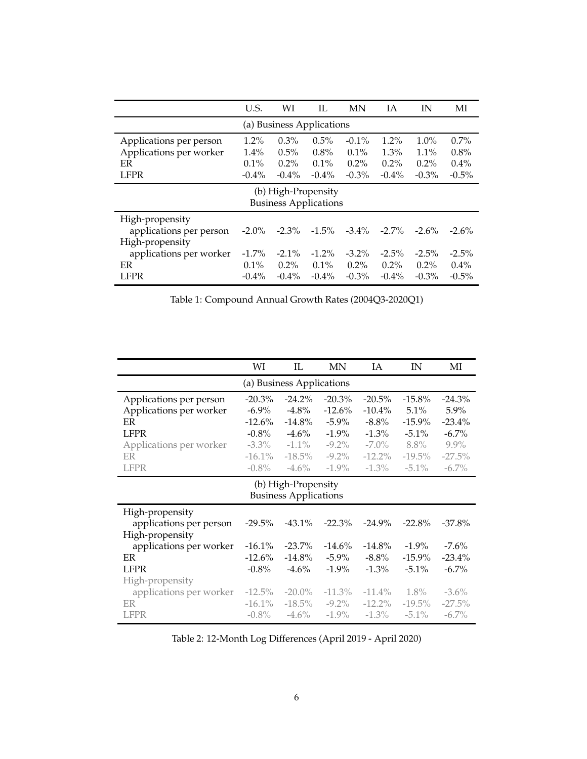<span id="page-6-0"></span>

|                              | U.S.     | WI       | IL       | <b>MN</b> | IΑ       | IN       | MI       |  |  |  |  |
|------------------------------|----------|----------|----------|-----------|----------|----------|----------|--|--|--|--|
| (a) Business Applications    |          |          |          |           |          |          |          |  |  |  |  |
| Applications per person      | $1.2\%$  | $0.3\%$  | 0.5%     | $-0.1\%$  | $1.2\%$  | 1.0%     | $0.7\%$  |  |  |  |  |
| Applications per worker      | $1.4\%$  | $0.5\%$  | $0.8\%$  | $0.1\%$   | $1.3\%$  | $1.1\%$  | $0.8\%$  |  |  |  |  |
| ER                           | $0.1\%$  | $0.2\%$  | $0.1\%$  | $0.2\%$   | $0.2\%$  | $0.2\%$  | $0.4\%$  |  |  |  |  |
| <b>LFPR</b>                  | $-0.4\%$ | $-0.4\%$ | $-0.4\%$ | $-0.3\%$  | $-0.4\%$ | $-0.3\%$ | $-0.5\%$ |  |  |  |  |
| (b) High-Propensity          |          |          |          |           |          |          |          |  |  |  |  |
| <b>Business Applications</b> |          |          |          |           |          |          |          |  |  |  |  |
| High-propensity              |          |          |          |           |          |          |          |  |  |  |  |
| applications per person      | $-2.0\%$ | $-2.3\%$ | $-1.5\%$ | $-3.4\%$  | $-2.7\%$ | $-2.6\%$ | $-2.6\%$ |  |  |  |  |
| High-propensity              |          |          |          |           |          |          |          |  |  |  |  |
| applications per worker      | $-1.7\%$ | $-2.1\%$ | $-1.2\%$ | $-3.2\%$  | $-2.5\%$ | $-2.5\%$ | $-2.5\%$ |  |  |  |  |
| ER                           | $0.1\%$  | $0.2\%$  | $0.1\%$  | $0.2\%$   | $0.2\%$  | $0.2\%$  | $0.4\%$  |  |  |  |  |
| <b>LFPR</b>                  | $-0.4\%$ | $-0.4\%$ | $-0.4\%$ | $-0.3\%$  | $-0.4\%$ | $-0.3\%$ | $-0.5\%$ |  |  |  |  |

Table 1: Compound Annual Growth Rates (2004Q3-2020Q1)

<span id="page-6-1"></span>

|                                                                                                                         | WI                                                                                 | IL                                                                                  | MN                                                                                 | IA                                                                                 | IN                                                                            | МI                                                                              |  |  |  |  |  |
|-------------------------------------------------------------------------------------------------------------------------|------------------------------------------------------------------------------------|-------------------------------------------------------------------------------------|------------------------------------------------------------------------------------|------------------------------------------------------------------------------------|-------------------------------------------------------------------------------|---------------------------------------------------------------------------------|--|--|--|--|--|
| (a) Business Applications                                                                                               |                                                                                    |                                                                                     |                                                                                    |                                                                                    |                                                                               |                                                                                 |  |  |  |  |  |
| Applications per person<br>Applications per worker<br>ER<br><b>LFPR</b><br>Applications per worker<br>ER<br><b>LFPR</b> | $-20.3\%$<br>$-6.9\%$<br>$-12.6%$<br>$-0.8\%$<br>$-3.3\%$<br>$-16.1\%$<br>$-0.8\%$ | $-24.2\%$<br>$-4.8\%$<br>$-14.8\%$<br>$-4.6\%$<br>$-1.1\%$<br>$-18.5\%$<br>$-4.6\%$ | $-20.3\%$<br>$-12.6\%$<br>$-5.9\%$<br>$-1.9\%$<br>$-9.2\%$<br>$-9.2\%$<br>$-1.9\%$ | $-20.5%$<br>$-10.4\%$<br>$-8.8\%$<br>$-1.3\%$<br>$-7.0\%$<br>$-12.2\%$<br>$-1.3\%$ | $-15.8%$<br>5.1%<br>$-15.9\%$<br>$-5.1\%$<br>$8.8\%$<br>$-19.5\%$<br>$-5.1\%$ | $-24.3\%$<br>$5.9\%$<br>$-23.4%$<br>$-6.7\%$<br>$9.9\%$<br>$-27.5%$<br>$-6.7\%$ |  |  |  |  |  |
| (b) High-Propensity<br><b>Business Applications</b>                                                                     |                                                                                    |                                                                                     |                                                                                    |                                                                                    |                                                                               |                                                                                 |  |  |  |  |  |
| High-propensity<br>applications per person<br>High-propensity                                                           | $-29.5%$                                                                           | $-43.1\%$                                                                           | $-22.3%$                                                                           | $-24.9%$                                                                           | $-22.8\%$                                                                     | $-37.8\%$                                                                       |  |  |  |  |  |
| applications per worker<br>ER<br><b>LFPR</b>                                                                            | $-16.1\%$<br>$-12.6%$<br>$-0.8\%$                                                  | $-23.7\%$<br>$-14.8\%$<br>$-4.6\%$                                                  | $-14.6\%$<br>$-5.9\%$<br>$-1.9\%$                                                  | $-14.8\%$<br>$-8.8\%$<br>$-1.3\%$                                                  | $-1.9\%$<br>$-15.9\%$<br>$-5.1\%$                                             | $-7.6\%$<br>$-23.4\%$<br>$-6.7\%$                                               |  |  |  |  |  |
| High-propensity<br>applications per worker<br>ER<br><b>LFPR</b>                                                         | $-12.5\%$<br>$-16.1\%$<br>$-0.8\%$                                                 | $-20.0\%$<br>$-18.5\%$<br>$-4.6\%$                                                  | $-11.3\%$<br>$-9.2\%$<br>$-1.9\%$                                                  | $-11.4\%$<br>$-12.2\%$<br>$-1.3\%$                                                 | 1.8%<br>$-19.5\%$<br>$-5.1\%$                                                 | $-3.6\%$<br>$-27.5%$<br>$-6.7\%$                                                |  |  |  |  |  |

Table 2: 12-Month Log Differences (April 2019 - April 2020)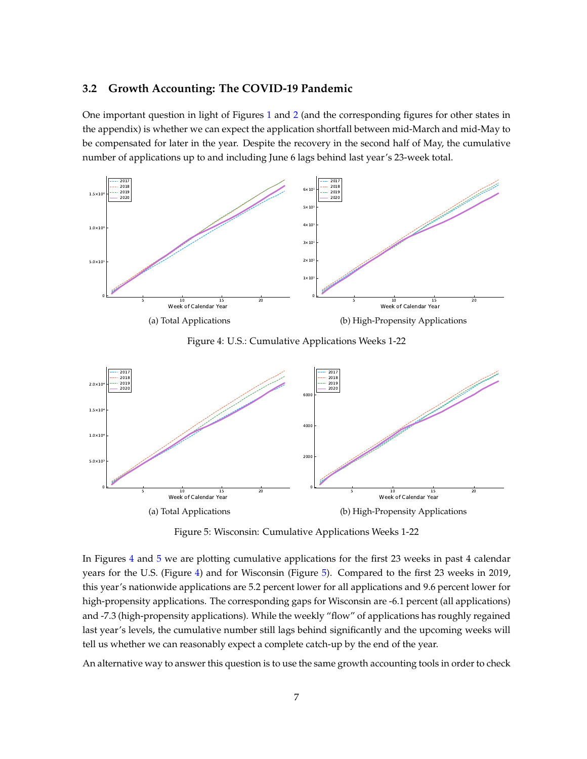#### **3.2 Growth Accounting: The COVID-19 Pandemic**

One important question in light of Figures [1](#page-2-0) and [2](#page-3-0) (and the corresponding figures for other states in the appendix) is whether we can expect the application shortfall between mid-March and mid-May to be compensated for later in the year. Despite the recovery in the second half of May, the cumulative number of applications up to and including June 6 lags behind last year's 23-week total.

<span id="page-7-0"></span>

Figure 4: U.S.: Cumulative Applications Weeks 1-22

<span id="page-7-1"></span>

Figure 5: Wisconsin: Cumulative Applications Weeks 1-22

In Figures [4](#page-7-0) and [5](#page-7-1) we are plotting cumulative applications for the first 23 weeks in past 4 calendar years for the U.S. (Figure [4\)](#page-7-0) and for Wisconsin (Figure [5\)](#page-7-1). Compared to the first 23 weeks in 2019, this year's nationwide applications are 5.2 percent lower for all applications and 9.6 percent lower for high-propensity applications. The corresponding gaps for Wisconsin are -6.1 percent (all applications) and -7.3 (high-propensity applications). While the weekly "flow" of applications has roughly regained last year's levels, the cumulative number still lags behind significantly and the upcoming weeks will tell us whether we can reasonably expect a complete catch-up by the end of the year.

An alternative way to answer this question is to use the same growth accounting tools in order to check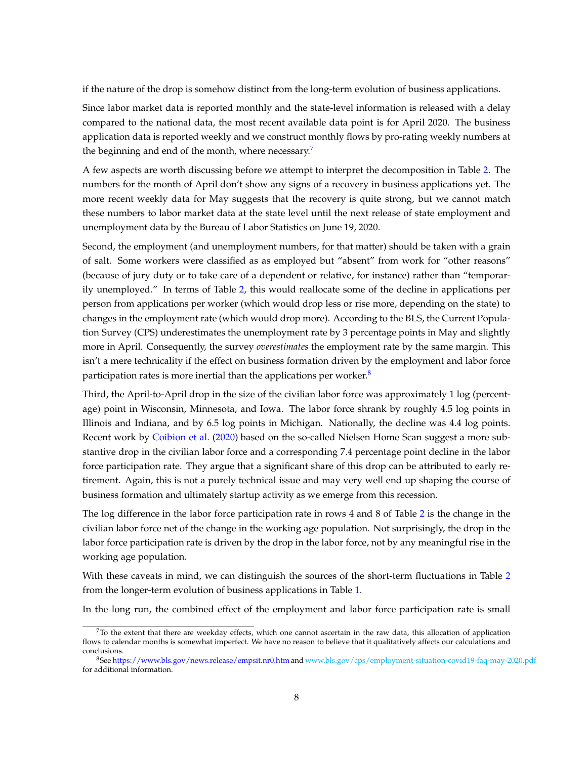if the nature of the drop is somehow distinct from the long-term evolution of business applications.

Since labor market data is reported monthly and the state-level information is released with a delay compared to the national data, the most recent available data point is for April 2020. The business application data is reported weekly and we construct monthly flows by pro-rating weekly numbers at the beginning and end of the month, where necessary.<sup>[7](#page-8-0)</sup>

A few aspects are worth discussing before we attempt to interpret the decomposition in Table [2.](#page-6-1) The numbers for the month of April don't show any signs of a recovery in business applications yet. The more recent weekly data for May suggests that the recovery is quite strong, but we cannot match these numbers to labor market data at the state level until the next release of state employment and unemployment data by the Bureau of Labor Statistics on June 19, 2020.

Second, the employment (and unemployment numbers, for that matter) should be taken with a grain of salt. Some workers were classified as as employed but "absent" from work for "other reasons" (because of jury duty or to take care of a dependent or relative, for instance) rather than "temporarily unemployed." In terms of Table [2,](#page-6-1) this would reallocate some of the decline in applications per person from applications per worker (which would drop less or rise more, depending on the state) to changes in the employment rate (which would drop more). According to the BLS, the Current Population Survey (CPS) underestimates the unemployment rate by 3 percentage points in May and slightly more in April. Consequently, the survey *overestimates* the employment rate by the same margin. This isn't a mere technicality if the effect on business formation driven by the employment and labor force participation rates is more inertial than the applications per worker. $8$ 

Third, the April-to-April drop in the size of the civilian labor force was approximately 1 log (percentage) point in Wisconsin, Minnesota, and Iowa. The labor force shrank by roughly 4.5 log points in Illinois and Indiana, and by 6.5 log points in Michigan. Nationally, the decline was 4.4 log points. Recent work by [Coibion et al.](#page-11-4) [\(2020](#page-11-4)) based on the so-called Nielsen Home Scan suggest a more substantive drop in the civilian labor force and a corresponding 7.4 percentage point decline in the labor force participation rate. They argue that a significant share of this drop can be attributed to early retirement. Again, this is not a purely technical issue and may very well end up shaping the course of business formation and ultimately startup activity as we emerge from this recession.

The log difference in the labor force participation rate in rows 4 and 8 of Table [2](#page-6-1) is the change in the civilian labor force net of the change in the working age population. Not surprisingly, the drop in the labor force participation rate is driven by the drop in the labor force, not by any meaningful rise in the working age population.

With these caveats in mind, we can distinguish the sources of the short-term fluctuations in Table [2](#page-6-1) from the longer-term evolution of business applications in Table [1.](#page-6-0)

In the long run, the combined effect of the employment and labor force participation rate is small

<span id="page-8-0"></span> $7$ To the extent that there are weekday effects, which one cannot ascertain in the raw data, this allocation of application flows to calendar months is somewhat imperfect. We have no reason to believe that it qualitatively affects our calculations and conclusions.

<span id="page-8-1"></span><sup>8</sup>See <https://www.bls.gov/news.release/empsit.nr0.htm> and [www.bls.gov/cps/employment-situation-covid19-faq-may-2020.pdf](#page-0-0) for additional information.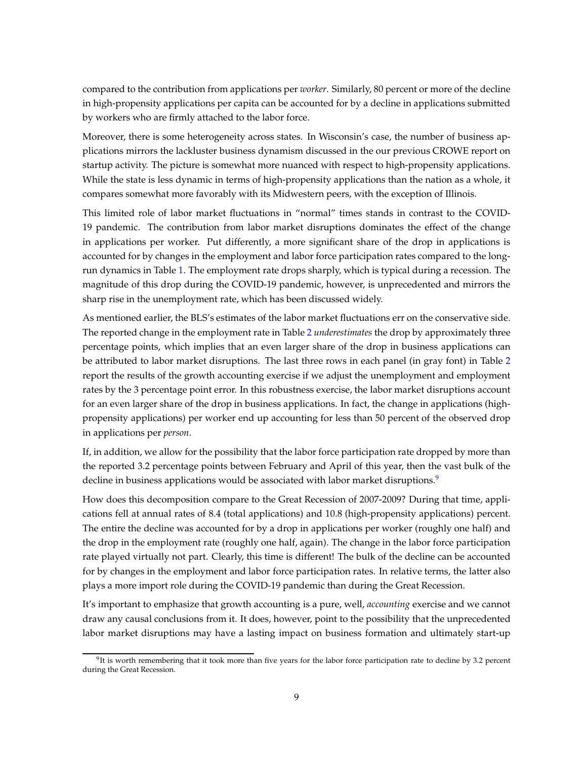compared to the contribution from applications per *worker*. Similarly, 80 percent or more of the decline in high-propensity applications per capita can be accounted for by a decline in applications submitted by workers who are firmly attached to the labor force.

Moreover, there is some heterogeneity across states. In Wisconsin's case, the number of business applications mirrors the lackluster business dynamism discussed in the our previous CROWE report on startup activity. The picture is somewhat more nuanced with respect to high-propensity applications. While the state is less dynamic in terms of high-propensity applications than the nation as a whole, it compares somewhat more favorably with its Midwestern peers, with the exception of Illinois.

This limited role of labor market fluctuations in "normal" times stands in contrast to the COVID-19 pandemic. The contribution from labor market disruptions dominates the effect of the change in applications per worker. Put differently, a more significant share of the drop in applications is accounted for by changes in the employment and labor force participation rates compared to the longrun dynamics in Table [1.](#page-6-0) The employment rate drops sharply, which is typical during a recession. The magnitude of this drop during the COVID-19 pandemic, however, is unprecedented and mirrors the sharp rise in the unemployment rate, which has been discussed widely.

As mentioned earlier, the BLS's estimates of the labor market fluctuations err on the conservative side. The reported change in the employment rate in Table [2](#page-6-1) *underestimates* the drop by approximately three percentage points, which implies that an even larger share of the drop in business applications can be attributed to labor market disruptions. The last three rows in each panel (in gray font) in Table [2](#page-6-1) report the results of the growth accounting exercise if we adjust the unemployment and employment rates by the 3 percentage point error. In this robustness exercise, the labor market disruptions account for an even larger share of the drop in business applications. In fact, the change in applications (highpropensity applications) per worker end up accounting for less than 50 percent of the observed drop in applications per *person*.

If, in addition, we allow for the possibility that the labor force participation rate dropped by more than the reported 3.2 percentage points between February and April of this year, then the vast bulk of the decline in business applications would be associated with labor market disruptions.<sup>[9](#page-9-0)</sup>

How does this decomposition compare to the Great Recession of 2007-2009? During that time, applications fell at annual rates of 8.4 (total applications) and 10.8 (high-propensity applications) percent. The entire the decline was accounted for by a drop in applications per worker (roughly one half) and the drop in the employment rate (roughly one half, again). The change in the labor force participation rate played virtually not part. Clearly, this time is different! The bulk of the decline can be accounted for by changes in the employment and labor force participation rates. In relative terms, the latter also plays a more import role during the COVID-19 pandemic than during the Great Recession.

It's important to emphasize that growth accounting is a pure, well, *accounting* exercise and we cannot draw any causal conclusions from it. It does, however, point to the possibility that the unprecedented labor market disruptions may have a lasting impact on business formation and ultimately start-up

<span id="page-9-0"></span> $^{9}$ It is worth remembering that it took more than five years for the labor force participation rate to decline by 3.2 percent during the Great Recession.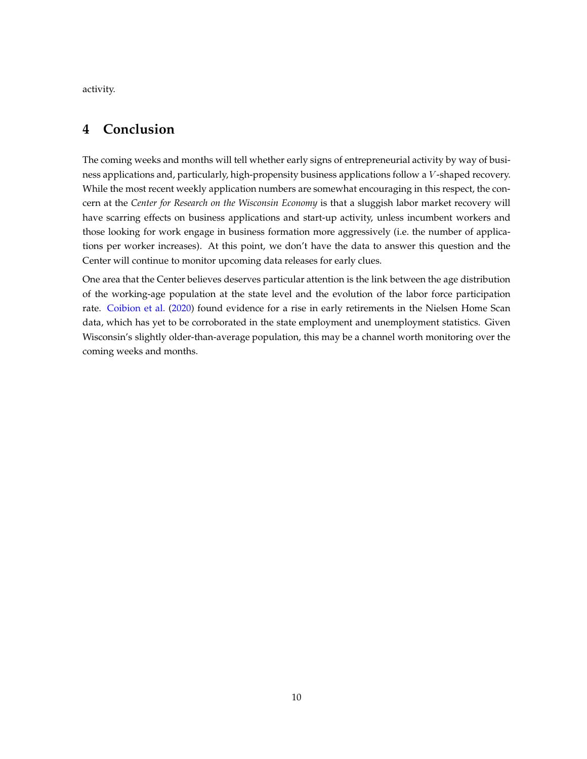activity.

### **4 Conclusion**

The coming weeks and months will tell whether early signs of entrepreneurial activity by way of business applications and, particularly, high-propensity business applications follow a V -shaped recovery. While the most recent weekly application numbers are somewhat encouraging in this respect, the concern at the *Center for Research on the Wisconsin Economy* is that a sluggish labor market recovery will have scarring effects on business applications and start-up activity, unless incumbent workers and those looking for work engage in business formation more aggressively (i.e. the number of applications per worker increases). At this point, we don't have the data to answer this question and the Center will continue to monitor upcoming data releases for early clues.

One area that the Center believes deserves particular attention is the link between the age distribution of the working-age population at the state level and the evolution of the labor force participation rate. [Coibion et al.](#page-11-4) [\(2020](#page-11-4)) found evidence for a rise in early retirements in the Nielsen Home Scan data, which has yet to be corroborated in the state employment and unemployment statistics. Given Wisconsin's slightly older-than-average population, this may be a channel worth monitoring over the coming weeks and months.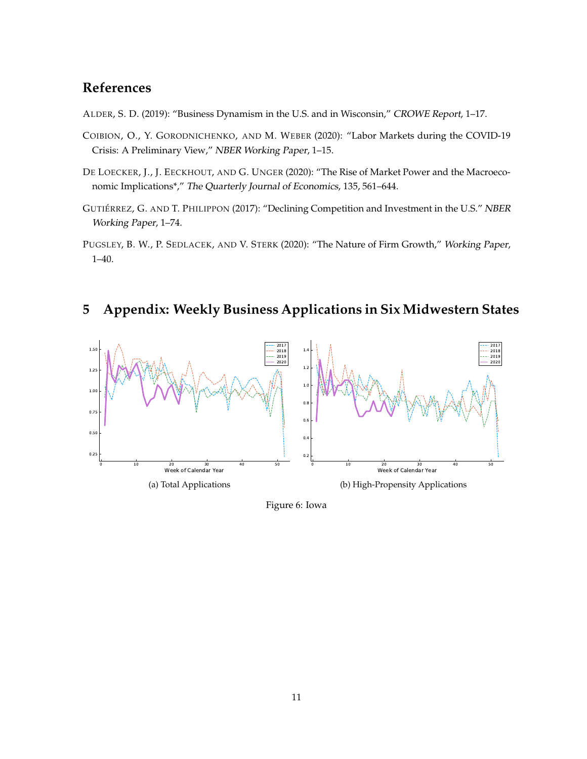### **References**

<span id="page-11-3"></span>ALDER, S. D. (2019): "Business Dynamism in the U.S. and in Wisconsin," CROWE Report, 1–17.

- <span id="page-11-4"></span>COIBION, O., Y. GORODNICHENKO, AND M. WEBER (2020): "Labor Markets during the COVID-19 Crisis: A Preliminary View," NBER Working Paper, 1–15.
- <span id="page-11-2"></span>DE LOECKER, J., J. EECKHOUT, AND G. UNGER (2020): "The Rise of Market Power and the Macroeconomic Implications\*," The Quarterly Journal of Economics, 135, 561–644.
- <span id="page-11-1"></span>GUTIÉRREZ, G. AND T. PHILIPPON (2017): "Declining Competition and Investment in the U.S." NBER Working Paper, 1–74.
- <span id="page-11-0"></span>PUGSLEY, B. W., P. SEDLACEK, AND V. STERK (2020): "The Nature of Firm Growth," Working Paper, 1–40.

### **5 Appendix: Weekly Business Applications in Six Midwestern States**



Figure 6: Iowa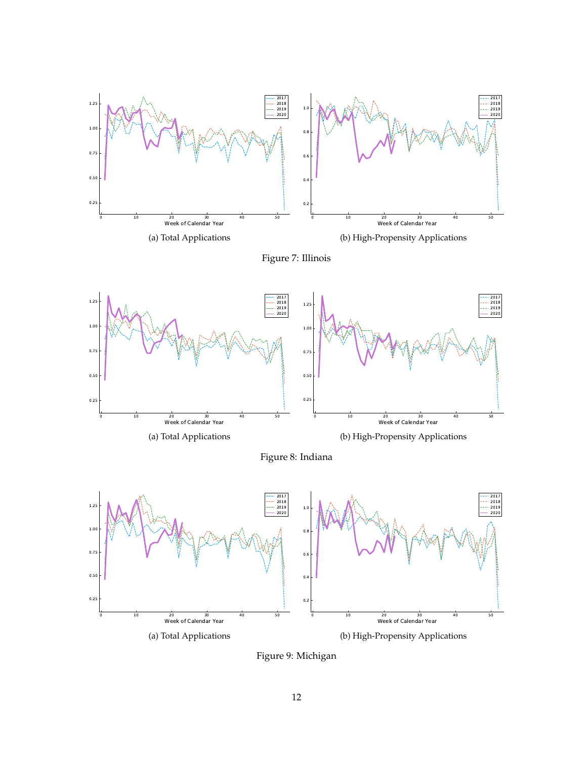









Figure 9: Michigan